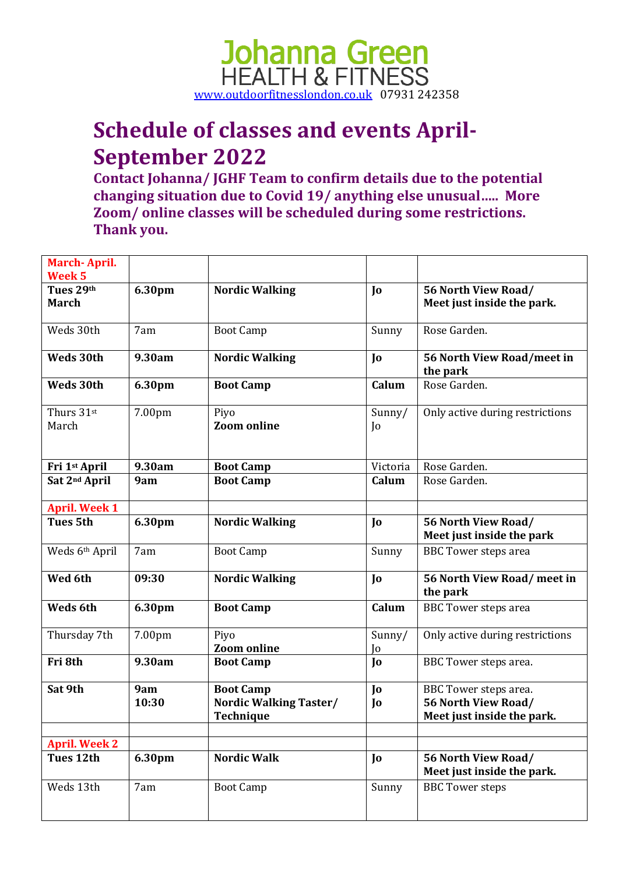

### **Schedule of classes and events April-September 2022**

**Contact Johanna/ JGHF Team to confirm details due to the potential changing situation due to Covid 19/ anything else unusual….. More Zoom/ online classes will be scheduled during some restrictions. Thank you.**

| March-April.<br>Week <sub>5</sub> |              |                                                                       |              |                                                                            |
|-----------------------------------|--------------|-----------------------------------------------------------------------|--------------|----------------------------------------------------------------------------|
| Tues 29th<br><b>March</b>         | 6.30pm       | <b>Nordic Walking</b>                                                 | Jo           | 56 North View Road/<br>Meet just inside the park.                          |
| Weds 30th                         | 7am          | <b>Boot Camp</b>                                                      | Sunny        | Rose Garden.                                                               |
| Weds 30th                         | 9.30am       | <b>Nordic Walking</b>                                                 | Jo           | 56 North View Road/meet in<br>the park                                     |
| Weds 30th                         | 6.30pm       | <b>Boot Camp</b>                                                      | Calum        | Rose Garden.                                                               |
| Thurs 31st<br>March               | 7.00pm       | Piyo<br><b>Zoom online</b>                                            | Sunny/<br>Jo | Only active during restrictions                                            |
| Fri 1st April                     | 9.30am       | <b>Boot Camp</b>                                                      | Victoria     | Rose Garden.                                                               |
| Sat 2nd April                     | 9am          | <b>Boot Camp</b>                                                      | Calum        | Rose Garden.                                                               |
| <b>April. Week 1</b>              |              |                                                                       |              |                                                                            |
| <b>Tues 5th</b>                   | 6.30pm       | <b>Nordic Walking</b>                                                 | Jo           | 56 North View Road/<br>Meet just inside the park                           |
| Weds 6th April                    | 7am          | <b>Boot Camp</b>                                                      | Sunny        | <b>BBC</b> Tower steps area                                                |
| Wed 6th                           | 09:30        | <b>Nordic Walking</b>                                                 | Jo           | 56 North View Road/ meet in<br>the park                                    |
| Weds 6th                          | 6.30pm       | <b>Boot Camp</b>                                                      | Calum        | <b>BBC</b> Tower steps area                                                |
| Thursday 7th                      | 7.00pm       | Piyo<br><b>Zoom online</b>                                            | Sunny/<br>Jo | Only active during restrictions                                            |
| Fri 8th                           | 9.30am       | <b>Boot Camp</b>                                                      | Jo           | BBC Tower steps area.                                                      |
| Sat 9th                           | 9am<br>10:30 | <b>Boot Camp</b><br><b>Nordic Walking Taster/</b><br><b>Technique</b> | Jo<br>Jo     | BBC Tower steps area.<br>56 North View Road/<br>Meet just inside the park. |
| <b>April. Week 2</b>              |              |                                                                       |              |                                                                            |
| Tues 12th                         | 6.30pm       | <b>Nordic Walk</b>                                                    | Jo           | 56 North View Road/<br>Meet just inside the park.                          |
| Weds 13th                         | 7am          | <b>Boot Camp</b>                                                      | Sunny        | <b>BBC Tower steps</b>                                                     |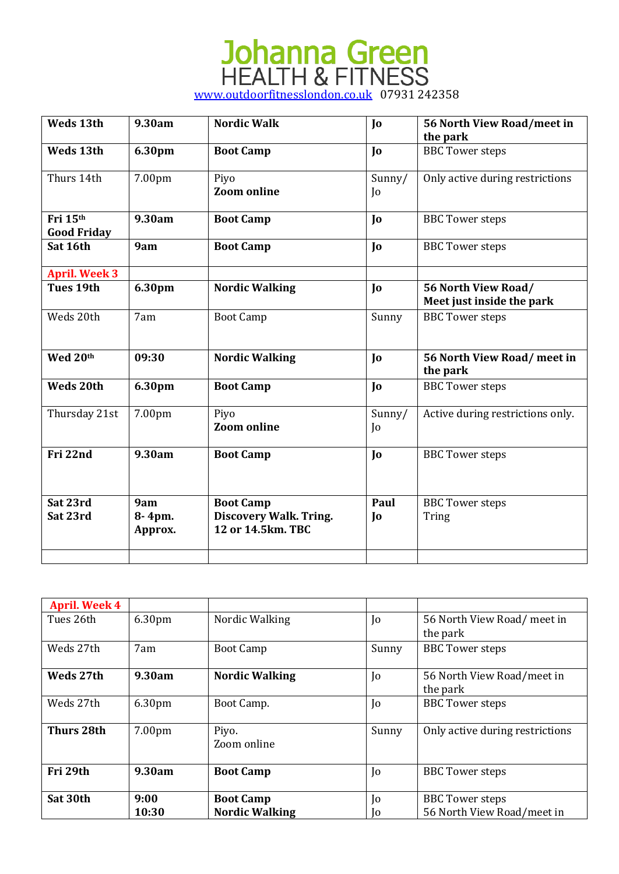| Weds 13th                      | 9.30am                   | <b>Nordic Walk</b>                                                     | Jo                       | 56 North View Road/meet in<br>the park           |
|--------------------------------|--------------------------|------------------------------------------------------------------------|--------------------------|--------------------------------------------------|
| Weds 13th                      | 6.30pm                   | <b>Boot Camp</b>                                                       | $\mathbf{J}$             | <b>BBC</b> Tower steps                           |
| Thurs 14th                     | 7.00pm                   | Piyo<br><b>Zoom</b> online                                             | Sunny/<br>$\overline{0}$ | Only active during restrictions                  |
| Fri 15th<br><b>Good Friday</b> | 9.30am                   | <b>Boot Camp</b>                                                       | $\mathbf{I}$             | <b>BBC</b> Tower steps                           |
| Sat 16th                       | 9am                      | <b>Boot Camp</b>                                                       | Jo                       | <b>BBC</b> Tower steps                           |
| <b>April. Week 3</b>           |                          |                                                                        |                          |                                                  |
| <b>Tues 19th</b>               | 6.30pm                   | <b>Nordic Walking</b>                                                  | Jo                       | 56 North View Road/<br>Meet just inside the park |
| Weds 20th                      | 7am                      | <b>Boot Camp</b>                                                       | Sunny                    | <b>BBC</b> Tower steps                           |
| Wed 20th                       | 09:30                    | <b>Nordic Walking</b>                                                  | Jo                       | 56 North View Road/ meet in<br>the park          |
| <b>Weds 20th</b>               | 6.30pm                   | <b>Boot Camp</b>                                                       | $\mathbf{I}$             | <b>BBC</b> Tower steps                           |
| Thursday 21st                  | 7.00pm                   | Piyo<br><b>Zoom online</b>                                             | Sunny/<br>$\overline{0}$ | Active during restrictions only.                 |
| Fri 22nd                       | 9.30am                   | <b>Boot Camp</b>                                                       | Jo                       | <b>BBC</b> Tower steps                           |
| Sat 23rd<br>Sat 23rd           | 9am<br>8-4pm.<br>Approx. | <b>Boot Camp</b><br><b>Discovery Walk. Tring.</b><br>12 or 14.5km. TBC | Paul<br>$\mathbf{J}$     | <b>BBC</b> Tower steps<br>Tring                  |
|                                |                          |                                                                        |                          |                                                  |

| <b>April. Week 4</b> |        |                       |                |                                 |
|----------------------|--------|-----------------------|----------------|---------------------------------|
| Tues 26th            | 6.30pm | Nordic Walking        | Jo             | 56 North View Road/ meet in     |
|                      |        |                       |                | the park                        |
| Weds 27th            | 7am    | <b>Boot Camp</b>      | Sunny          | <b>BBC</b> Tower steps          |
|                      |        |                       |                |                                 |
| Weds 27th            | 9.30am | <b>Nordic Walking</b> | $\overline{0}$ | 56 North View Road/meet in      |
|                      |        |                       |                | the park                        |
| Weds 27th            | 6.30pm | Boot Camp.            | Jo             | <b>BBC</b> Tower steps          |
|                      |        |                       |                |                                 |
| Thurs 28th           | 7.00pm | Piyo.                 | Sunny          | Only active during restrictions |
|                      |        | Zoom online           |                |                                 |
|                      |        |                       |                |                                 |
| Fri 29th             | 9.30am | <b>Boot Camp</b>      | $\overline{0}$ | <b>BBC</b> Tower steps          |
|                      |        |                       |                |                                 |
| Sat 30th             | 9:00   | <b>Boot Camp</b>      | Jo             | <b>BBC</b> Tower steps          |
|                      | 10:30  | <b>Nordic Walking</b> | Iо             | 56 North View Road/meet in      |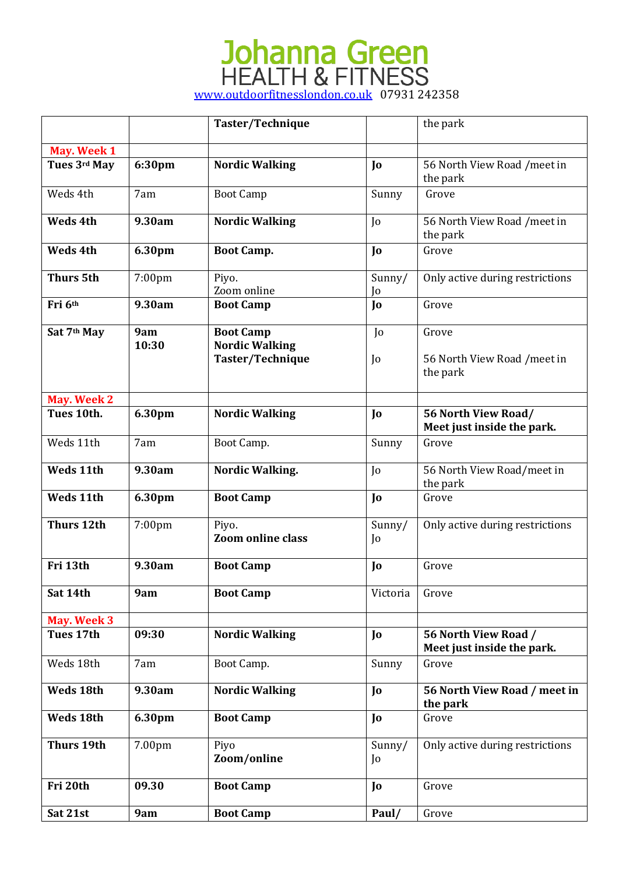|                   |              | Taster/Technique                          |                          | the park                                           |
|-------------------|--------------|-------------------------------------------|--------------------------|----------------------------------------------------|
| May. Week 1       |              |                                           |                          |                                                    |
| Tues 3rd May      | 6:30pm       | <b>Nordic Walking</b>                     | Jo                       | 56 North View Road / meet in<br>the park           |
| Weds 4th          | 7am          | <b>Boot Camp</b>                          | Sunny                    | Grove                                              |
| <b>Weds 4th</b>   | 9.30am       | <b>Nordic Walking</b>                     | $\overline{0}$           | 56 North View Road / meet in<br>the park           |
| <b>Weds 4th</b>   | 6.30pm       | <b>Boot Camp.</b>                         | Jo                       | Grove                                              |
| <b>Thurs 5th</b>  | 7:00pm       | Piyo.<br>Zoom online                      | Sunny/<br>Jo             | Only active during restrictions                    |
| Fri 6th           | 9.30am       | <b>Boot Camp</b>                          | J <sub>0</sub>           | Grove                                              |
| Sat 7th May       | 9am<br>10:30 | <b>Boot Camp</b><br><b>Nordic Walking</b> | $\overline{0}$           | Grove                                              |
|                   |              | Taster/Technique                          | $\overline{0}$           | 56 North View Road / meet in<br>the park           |
| May. Week 2       |              |                                           |                          |                                                    |
| Tues 10th.        | 6.30pm       | <b>Nordic Walking</b>                     | Jo                       | 56 North View Road/<br>Meet just inside the park.  |
| Weds 11th         | 7am          | Boot Camp.                                | Sunny                    | Grove                                              |
| <b>Weds 11th</b>  | 9.30am       | <b>Nordic Walking.</b>                    | $\overline{0}$           | 56 North View Road/meet in<br>the park             |
| <b>Weds 11th</b>  | 6.30pm       | <b>Boot Camp</b>                          | J <sub>0</sub>           | Grove                                              |
| <b>Thurs 12th</b> | 7:00pm       | Piyo.<br><b>Zoom online class</b>         | Sunny/<br>$\overline{0}$ | Only active during restrictions                    |
| Fri 13th          | 9.30am       | <b>Boot Camp</b>                          | Jo                       | Grove                                              |
| Sat 14th          | 9am          | <b>Boot Camp</b>                          | Victoria                 | Grove                                              |
| May. Week 3       |              |                                           |                          |                                                    |
| Tues 17th         | 09:30        | <b>Nordic Walking</b>                     | Jo                       | 56 North View Road /<br>Meet just inside the park. |
| Weds 18th         | 7am          | Boot Camp.                                | Sunny                    | Grove                                              |
| Weds 18th         | 9.30am       | <b>Nordic Walking</b>                     | Jo                       | 56 North View Road / meet in<br>the park           |
| Weds 18th         | 6.30pm       | <b>Boot Camp</b>                          | Jo                       | Grove                                              |
| <b>Thurs 19th</b> | 7.00pm       | Piyo<br>Zoom/online                       | Sunny/<br>$\overline{0}$ | Only active during restrictions                    |
| Fri 20th          | 09.30        | <b>Boot Camp</b>                          | Jo                       | Grove                                              |
| Sat 21st          | 9am          | <b>Boot Camp</b>                          | Paul/                    | Grove                                              |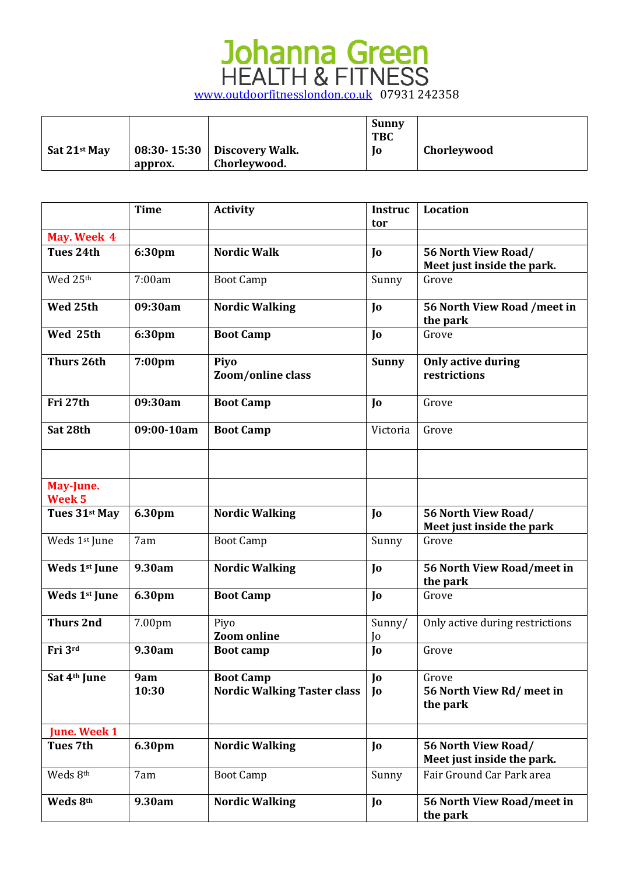|                      |         |                               | Sunny<br><b>TBC</b> |             |
|----------------------|---------|-------------------------------|---------------------|-------------|
| $\vert$ Sat 21st May |         | 08:30-15:30   Discovery Walk. | 10                  | Chorleywood |
|                      | approx. | Chorleywood.                  |                     |             |

|                                | <b>Time</b>        | <b>Activity</b>                                        | <b>Instruc</b> | Location                                          |
|--------------------------------|--------------------|--------------------------------------------------------|----------------|---------------------------------------------------|
|                                |                    |                                                        | tor            |                                                   |
| May. Week 4                    |                    |                                                        |                |                                                   |
| Tues 24th                      | 6:30pm             | <b>Nordic Walk</b>                                     | Jo             | 56 North View Road/                               |
|                                |                    |                                                        |                | Meet just inside the park.                        |
| Wed 25th                       | 7:00am             | <b>Boot Camp</b>                                       | Sunny          | Grove                                             |
| Wed 25th                       | 09:30am            | <b>Nordic Walking</b>                                  | Jo             | 56 North View Road / meet in<br>the park          |
| Wed 25th                       | 6:30pm             | <b>Boot Camp</b>                                       | $\mathbf{I}$   | Grove                                             |
| Thurs 26th                     | 7:00 <sub>pm</sub> | Piyo<br>Zoom/online class                              | <b>Sunny</b>   | <b>Only active during</b><br>restrictions         |
| Fri 27th                       | 09:30am            | <b>Boot Camp</b>                                       | $\mathbf{I}$   | Grove                                             |
| Sat 28th                       | 09:00-10am         | <b>Boot Camp</b>                                       | Victoria       | Grove                                             |
|                                |                    |                                                        |                |                                                   |
| May-June.<br>Week <sub>5</sub> |                    |                                                        |                |                                                   |
| Tues 31st May                  | 6.30pm             | <b>Nordic Walking</b>                                  | Jo             | 56 North View Road/<br>Meet just inside the park  |
| Weds 1st June                  | 7am                | <b>Boot Camp</b>                                       | Sunny          | Grove                                             |
| Weds 1st June                  | 9.30am             | <b>Nordic Walking</b>                                  | Jo             | 56 North View Road/meet in<br>the park            |
| Weds 1st June                  | 6.30pm             | <b>Boot Camp</b>                                       | $\mathbf{I}$   | Grove                                             |
| <b>Thurs 2nd</b>               | 7.00pm             | Piyo                                                   | Sunny/         | Only active during restrictions                   |
|                                |                    | <b>Zoom</b> online                                     | Jo             |                                                   |
| Fri 3rd                        | 9.30am             | <b>Boot camp</b>                                       | Jo             | Grove                                             |
| Sat 4th June                   | 9am<br>10:30       | <b>Boot Camp</b><br><b>Nordic Walking Taster class</b> | Jo<br>Jo       | Grove<br>56 North View Rd/ meet in<br>the park    |
| <b>June. Week 1</b>            |                    |                                                        |                |                                                   |
| <b>Tues 7th</b>                | 6.30pm             | <b>Nordic Walking</b>                                  | Jo             | 56 North View Road/<br>Meet just inside the park. |
| Weds 8th                       | 7am                | <b>Boot Camp</b>                                       | Sunny          | Fair Ground Car Park area                         |
| Weds 8th                       | 9.30am             | <b>Nordic Walking</b>                                  | Jo             | 56 North View Road/meet in<br>the park            |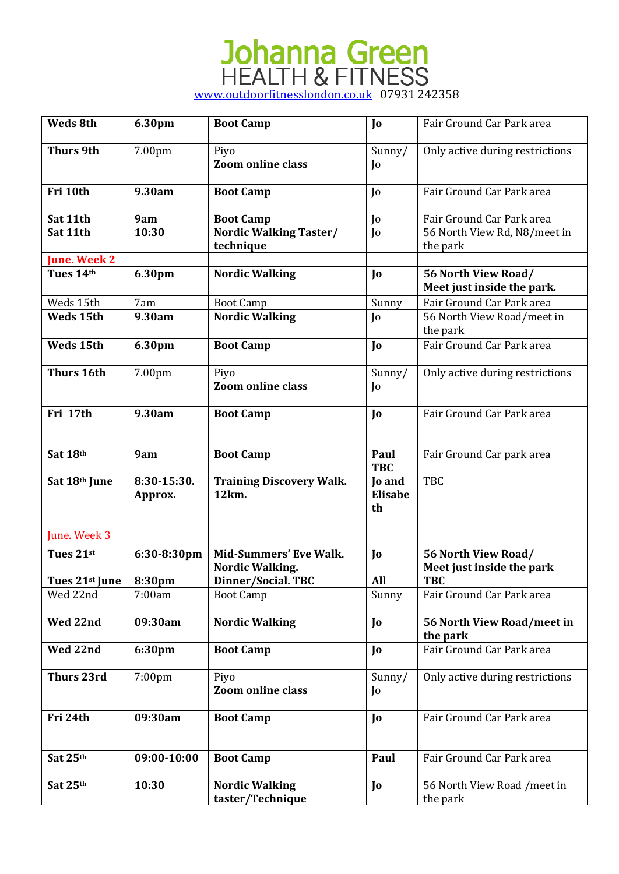| Weds 8th                                    | 6.30pm                 | <b>Boot Camp</b>                                        | Jo                             | Fair Ground Car Park area                                             |
|---------------------------------------------|------------------------|---------------------------------------------------------|--------------------------------|-----------------------------------------------------------------------|
| <b>Thurs 9th</b>                            | 7.00pm                 | Piyo<br><b>Zoom online class</b>                        | Sunny/<br>$\overline{0}$       | Only active during restrictions                                       |
| Fri 10th                                    | 9.30am                 | <b>Boot Camp</b>                                        | $\overline{0}$                 | Fair Ground Car Park area                                             |
| Sat 11th<br>Sat 11th<br><b>June. Week 2</b> | 9am<br>10:30           | <b>Boot Camp</b><br>Nordic Walking Taster/<br>technique | Jo<br>Jo                       | Fair Ground Car Park area<br>56 North View Rd, N8/meet in<br>the park |
| Tues 14th                                   | 6.30pm                 | <b>Nordic Walking</b>                                   | $\mathbf{J}$                   | 56 North View Road/<br>Meet just inside the park.                     |
| Weds 15th                                   | 7am                    | <b>Boot Camp</b>                                        | Sunny                          | Fair Ground Car Park area                                             |
| Weds 15th                                   | 9.30am                 | <b>Nordic Walking</b>                                   | Jo                             | 56 North View Road/meet in<br>the park                                |
| Weds 15th                                   | 6.30pm                 | <b>Boot Camp</b>                                        | $\mathbf{J}$                   | Fair Ground Car Park area                                             |
| <b>Thurs 16th</b>                           | 7.00pm                 | Piyo<br><b>Zoom online class</b>                        | Sunny/<br>$\overline{0}$       | Only active during restrictions                                       |
| Fri 17th                                    | 9.30am                 | <b>Boot Camp</b>                                        | $\mathbf{J}$                   | Fair Ground Car Park area                                             |
| Sat 18th                                    | 9am                    | <b>Boot Camp</b>                                        | Paul<br><b>TBC</b>             | Fair Ground Car park area                                             |
| Sat 18th June                               | 8:30-15:30.<br>Approx. | <b>Training Discovery Walk.</b><br>12km.                | <b>Jo and</b><br>Elisabe<br>th | <b>TBC</b>                                                            |
| June. Week 3                                |                        |                                                         |                                |                                                                       |
| Tues 21st                                   | 6:30-8:30pm            | <b>Mid-Summers' Eve Walk.</b><br><b>Nordic Walking.</b> | $\mathbf{J}$                   | 56 North View Road/<br>Meet just inside the park                      |
| Tues $21^{st}$ June                         | 8:30pm                 | Dinner/Social. TBC                                      | All                            | <b>TBC</b>                                                            |
| Wed 22nd                                    | 7:00am                 | <b>Boot Camp</b>                                        | Sunny                          | Fair Ground Car Park area                                             |
| Wed 22nd                                    | 09:30am                | <b>Nordic Walking</b>                                   | $\mathbf{J}$                   | 56 North View Road/meet in<br>the park                                |
| Wed 22nd                                    | 6:30pm                 | <b>Boot Camp</b>                                        | Jo                             | Fair Ground Car Park area                                             |
| <b>Thurs 23rd</b>                           | $7:00$ pm              | Piyo<br><b>Zoom online class</b>                        | Sunny/<br>Jo                   | Only active during restrictions                                       |
| Fri 24th                                    | 09:30am                | <b>Boot Camp</b>                                        | $\mathbf{J}$                   | Fair Ground Car Park area                                             |
| Sat 25th                                    | 09:00-10:00            | <b>Boot Camp</b>                                        | Paul                           | Fair Ground Car Park area                                             |
| Sat 25th                                    | 10:30                  | <b>Nordic Walking</b><br>taster/Technique               | Jo                             | 56 North View Road / meet in<br>the park                              |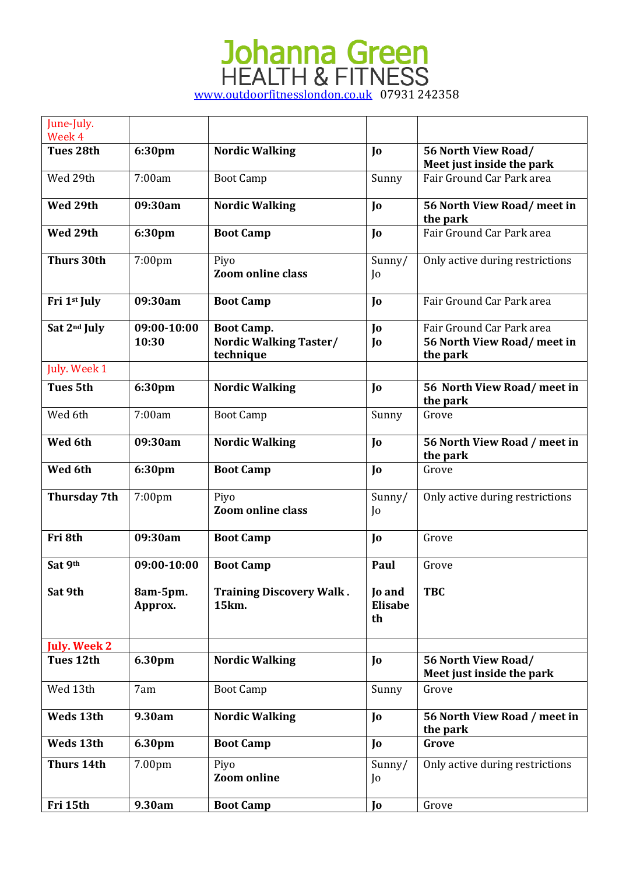| June-July.<br>Week 4 |                      |                                                          |                                       |                                                                      |
|----------------------|----------------------|----------------------------------------------------------|---------------------------------------|----------------------------------------------------------------------|
| Tues 28th            | 6:30pm               | <b>Nordic Walking</b>                                    | $\mathbf{I}$                          | 56 North View Road/<br>Meet just inside the park                     |
| Wed 29th             | 7:00am               | <b>Boot Camp</b>                                         | Sunny                                 | Fair Ground Car Park area                                            |
| Wed 29th             | 09:30am              | <b>Nordic Walking</b>                                    | $\mathbf{J}$                          | 56 North View Road/ meet in<br>the park                              |
| Wed 29th             | 6:30pm               | <b>Boot Camp</b>                                         | $\mathbf{J}$                          | Fair Ground Car Park area                                            |
| <b>Thurs 30th</b>    | 7:00pm               | Piyo<br><b>Zoom online class</b>                         | Sunny/<br>$\overline{0}$              | Only active during restrictions                                      |
| Fri 1st July         | 09:30am              | <b>Boot Camp</b>                                         | $\mathbf{J}$                          | Fair Ground Car Park area                                            |
| Sat 2nd July         | 09:00-10:00<br>10:30 | <b>Boot Camp.</b><br>Nordic Walking Taster/<br>technique | Jo<br>Jo                              | Fair Ground Car Park area<br>56 North View Road/ meet in<br>the park |
| July. Week 1         |                      |                                                          |                                       |                                                                      |
| <b>Tues 5th</b>      | 6:30pm               | <b>Nordic Walking</b>                                    | $\mathbf{I}$                          | 56 North View Road/meet in<br>the park                               |
| Wed 6th              | 7:00am               | <b>Boot Camp</b>                                         | Sunny                                 | Grove                                                                |
| Wed 6th              | 09:30am              | <b>Nordic Walking</b>                                    | $\mathbf{J}$                          | 56 North View Road / meet in<br>the park                             |
| Wed 6th              | 6:30pm               | <b>Boot Camp</b>                                         | $\mathbf{J}$                          | Grove                                                                |
| Thursday 7th         | 7:00pm               | Piyo<br><b>Zoom online class</b>                         | Sunny/<br>Jo                          | Only active during restrictions                                      |
| Fri 8th              | 09:30am              | <b>Boot Camp</b>                                         | $\mathbf{J}$                          | Grove                                                                |
| Sat 9th              | 09:00-10:00          | <b>Boot Camp</b>                                         | Paul                                  | Grove                                                                |
| Sat 9th              | 8am-5pm.<br>Approx.  | <b>Training Discovery Walk.</b><br>15km.                 | <b>Jo and</b><br><b>Elisabe</b><br>th | <b>TBC</b>                                                           |
| <b>July. Week 2</b>  |                      |                                                          |                                       |                                                                      |
| Tues 12th            | 6.30pm               | <b>Nordic Walking</b>                                    | Jo                                    | 56 North View Road/<br>Meet just inside the park                     |
| Wed 13th             | 7am                  | <b>Boot Camp</b>                                         | Sunny                                 | Grove                                                                |
| Weds 13th            | 9.30am               | <b>Nordic Walking</b>                                    | Jo                                    | 56 North View Road / meet in<br>the park                             |
| Weds 13th            | 6.30pm               | <b>Boot Camp</b>                                         | Jo                                    | Grove                                                                |
| <b>Thurs 14th</b>    | 7.00pm               | Piyo<br><b>Zoom</b> online                               | Sunny/<br>Jo                          | Only active during restrictions                                      |
| Fri 15th             | 9.30am               | <b>Boot Camp</b>                                         | Jo                                    | Grove                                                                |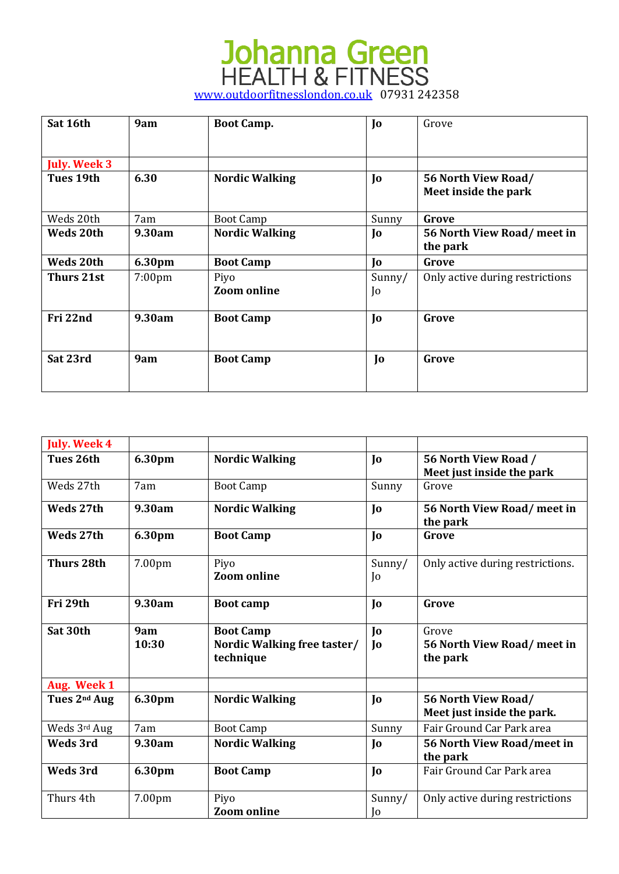| Sat 16th            | 9am                | <b>Boot Camp.</b>          | Jo           | Grove                                       |
|---------------------|--------------------|----------------------------|--------------|---------------------------------------------|
| <b>July. Week 3</b> |                    |                            |              |                                             |
| Tues 19th           | 6.30               | <b>Nordic Walking</b>      | Jo           | 56 North View Road/<br>Meet inside the park |
| Weds 20th           | 7am                | <b>Boot Camp</b>           | Sunny        | Grove                                       |
| Weds 20th           | 9.30am             | <b>Nordic Walking</b>      | Jo           | 56 North View Road/meet in<br>the park      |
| Weds 20th           | 6.30pm             | <b>Boot Camp</b>           | Jo           | Grove                                       |
| Thurs 21st          | 7:00 <sub>pm</sub> | Piyo<br><b>Zoom online</b> | Sunny/<br>Jo | Only active during restrictions             |
| Fri 22nd            | 9.30am             | <b>Boot Camp</b>           | Jo           | Grove                                       |
| Sat 23rd            | 9am                | <b>Boot Camp</b>           | Jo           | Grove                                       |

| <b>July. Week 4</b>      |              |                                                              |                              |                                                   |
|--------------------------|--------------|--------------------------------------------------------------|------------------------------|---------------------------------------------------|
| Tues 26th                | 6.30pm       | <b>Nordic Walking</b>                                        | $\mathbf{J}$                 | 56 North View Road /<br>Meet just inside the park |
| Weds 27th                | 7am          | <b>Boot Camp</b>                                             | Sunny                        | Grove                                             |
| Weds 27th                | 9.30am       | <b>Nordic Walking</b>                                        | Jo                           | 56 North View Road/ meet in<br>the park           |
| Weds 27th                | 6.30pm       | <b>Boot Camp</b>                                             | Jo                           | Grove                                             |
| <b>Thurs 28th</b>        | 7.00pm       | Piyo<br><b>Zoom online</b>                                   | Sunny/<br>$\overline{0}$     | Only active during restrictions.                  |
| Fri 29th                 | 9.30am       | <b>Boot camp</b>                                             | Jo                           | Grove                                             |
| Sat 30th                 | 9am<br>10:30 | <b>Boot Camp</b><br>Nordic Walking free taster/<br>technique | $\mathbf{I}$<br>$\mathbf{I}$ | Grove<br>56 North View Road/meet in<br>the park   |
| Aug. Week 1              |              |                                                              |                              |                                                   |
| Tues 2 <sup>nd</sup> Aug | 6.30pm       | <b>Nordic Walking</b>                                        | $\mathbf{J}$                 | 56 North View Road/<br>Meet just inside the park. |
| Weds 3rd Aug             | 7am          | <b>Boot Camp</b>                                             | Sunny                        | Fair Ground Car Park area                         |
| <b>Weds 3rd</b>          | 9.30am       | <b>Nordic Walking</b>                                        | Jo                           | 56 North View Road/meet in<br>the park            |
| Weds 3rd                 | 6.30pm       | <b>Boot Camp</b>                                             | $\mathbf{J}$                 | Fair Ground Car Park area                         |
| Thurs 4th                | 7.00pm       | Piyo<br><b>Zoom online</b>                                   | Sunny/<br>Jo                 | Only active during restrictions                   |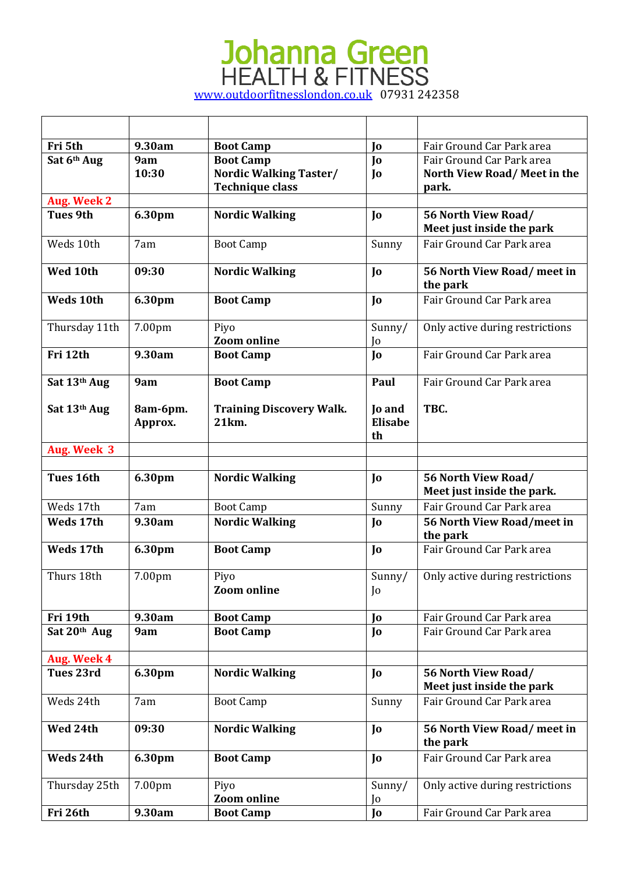| Fri 5th            | 9.30am              | <b>Boot Camp</b>                         | Jo                                    | Fair Ground Car Park area                               |
|--------------------|---------------------|------------------------------------------|---------------------------------------|---------------------------------------------------------|
| Sat 6th Aug        | 9am                 | <b>Boot Camp</b>                         | $\mathbf{J}$                          | Fair Ground Car Park area                               |
|                    | 10:30               | <b>Nordic Walking Taster/</b>            | Jo                                    | North View Road/Meet in the                             |
|                    |                     | <b>Technique class</b>                   |                                       | park.                                                   |
| Aug. Week 2        |                     |                                          |                                       |                                                         |
| <b>Tues 9th</b>    | 6.30pm              | <b>Nordic Walking</b>                    | $\mathbf{I}$                          | 56 North View Road/                                     |
|                    |                     |                                          |                                       | Meet just inside the park                               |
| Weds 10th          | 7am                 | <b>Boot Camp</b>                         | Sunny                                 | Fair Ground Car Park area                               |
| Wed 10th           | 09:30               | <b>Nordic Walking</b>                    | Jo                                    | 56 North View Road/ meet in<br>the park                 |
| <b>Weds 10th</b>   | 6.30pm              | <b>Boot Camp</b>                         | Jo                                    | Fair Ground Car Park area                               |
| Thursday 11th      | 7.00pm              | Piyo                                     | Sunny/                                | Only active during restrictions                         |
|                    |                     | <b>Zoom</b> online                       | Jo                                    |                                                         |
| Fri 12th           | 9.30am              | <b>Boot Camp</b>                         | Io                                    | Fair Ground Car Park area                               |
| Sat 13th Aug       | 9am                 | <b>Boot Camp</b>                         | Paul                                  | Fair Ground Car Park area                               |
| Sat 13th Aug       | 8am-6pm.<br>Approx. | <b>Training Discovery Walk.</b><br>21km. | <b>Io and</b><br><b>Elisabe</b><br>th | TBC.                                                    |
| <b>Aug. Week 3</b> |                     |                                          |                                       |                                                         |
|                    |                     |                                          |                                       |                                                         |
|                    |                     |                                          |                                       |                                                         |
| Tues 16th          | 6.30pm              | <b>Nordic Walking</b>                    | Jo                                    | 56 North View Road/<br>Meet just inside the park.       |
| Weds 17th          | 7am                 | <b>Boot Camp</b>                         | Sunny                                 | Fair Ground Car Park area                               |
| Weds 17th          | 9.30am              | <b>Nordic Walking</b>                    | Jo                                    | 56 North View Road/meet in                              |
|                    |                     |                                          |                                       | the park                                                |
| Weds 17th          | 6.30pm              | <b>Boot Camp</b>                         | $\mathbf{I}$                          | Fair Ground Car Park area                               |
| Thurs 18th         | 7.00pm              | Piyo                                     | Sunny/                                | Only active during restrictions                         |
|                    |                     | <b>Zoom online</b>                       | Jo                                    |                                                         |
|                    |                     |                                          |                                       |                                                         |
| Fri 19th           | 9.30am              | <b>Boot Camp</b>                         | Jo                                    | Fair Ground Car Park area                               |
| Sat 20th Aug       | 9am                 | <b>Boot Camp</b>                         | Jo                                    | Fair Ground Car Park area                               |
| Aug. Week 4        |                     |                                          |                                       |                                                         |
| Tues 23rd          | 6.30pm              | <b>Nordic Walking</b>                    | Jo                                    | <b>56 North View Road/</b><br>Meet just inside the park |
| Weds 24th          | 7am                 | <b>Boot Camp</b>                         | Sunny                                 | Fair Ground Car Park area                               |
| Wed 24th           | 09:30               | <b>Nordic Walking</b>                    | Jo                                    | 56 North View Road/ meet in<br>the park                 |
| Weds 24th          | 6.30pm              | <b>Boot Camp</b>                         | $\mathbf{I}$                          | Fair Ground Car Park area                               |
| Thursday 25th      | 7.00pm              | Piyo                                     | Sunny/                                | Only active during restrictions                         |
| Fri 26th           | 9.30am              | <b>Zoom online</b><br><b>Boot Camp</b>   | Jo                                    | Fair Ground Car Park area                               |